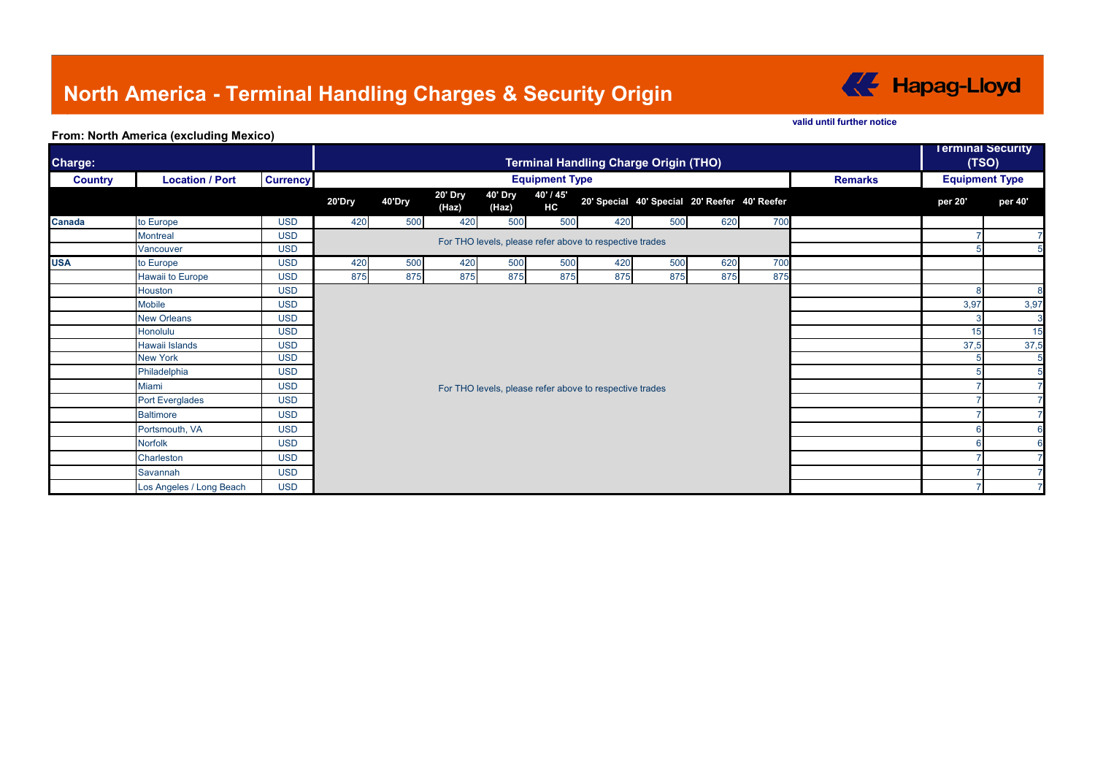# **North America - Terminal Handling Charges & Security Origin**



#### **valid until further notice**

### **From: North America (excluding Mexico)**

| Charge:        | <b>Terminal Handling Charge Origin (THO)</b> |                 |                                                         |        |                  |                  |                        |                                               |     |     | <b>Terminal Security</b><br>(TSO) |                |                       |         |
|----------------|----------------------------------------------|-----------------|---------------------------------------------------------|--------|------------------|------------------|------------------------|-----------------------------------------------|-----|-----|-----------------------------------|----------------|-----------------------|---------|
| <b>Country</b> | <b>Location / Port</b>                       | <b>Currency</b> | <b>Equipment Type</b>                                   |        |                  |                  |                        |                                               |     |     |                                   | <b>Remarks</b> | <b>Equipment Type</b> |         |
|                |                                              |                 | 20'Dry                                                  | 40'Dry | 20' Dry<br>(Haz) | 40' Dry<br>(Haz) | 40' / 45'<br><b>HC</b> | 20' Special 40' Special 20' Reefer 40' Reefer |     |     |                                   |                | per 20'               | per 40' |
| <b>Canada</b>  | to Europe                                    | <b>USD</b>      | 420                                                     | 500    | 420              | 500              | 500                    | 420                                           | 500 | 620 | 700                               |                |                       |         |
|                | <b>Montreal</b>                              | <b>USD</b>      | For THO levels, please refer above to respective trades |        |                  |                  |                        |                                               |     |     |                                   |                |                       |         |
|                | Vancouver                                    | <b>USD</b>      |                                                         |        |                  |                  |                        |                                               |     |     |                                   |                |                       |         |
| <b>USA</b>     | to Europe                                    | <b>USD</b>      | 420                                                     | 500    | 420              | 500              | 500                    | 420                                           | 500 | 620 | 700                               |                |                       |         |
|                | Hawaii to Europe                             | <b>USD</b>      | 875                                                     | 875    | 875              | 875              | 875                    | 875                                           | 875 | 875 | 875                               |                |                       |         |
|                | Houston                                      | <b>USD</b>      |                                                         |        |                  |                  |                        |                                               |     |     |                                   |                | 8                     |         |
|                | Mobile                                       | <b>USD</b>      |                                                         |        |                  |                  |                        |                                               |     |     |                                   | 3,97           | 3,97                  |         |
|                | <b>New Orleans</b>                           | <b>USD</b>      |                                                         |        |                  |                  |                        |                                               |     |     |                                   |                |                       |         |
|                | Honolulu                                     | <b>USD</b>      |                                                         |        |                  |                  |                        |                                               |     |     |                                   | 15             | 15                    |         |
|                | Hawaii Islands                               | <b>USD</b>      | For THO levels, please refer above to respective trades |        |                  |                  |                        |                                               |     |     |                                   | 37,5           | 37,5                  |         |
|                | <b>New York</b>                              | <b>USD</b>      |                                                         |        |                  |                  |                        |                                               |     |     |                                   |                |                       |         |
|                | Philadelphia                                 | <b>USD</b>      |                                                         |        |                  |                  |                        |                                               |     |     |                                   |                |                       |         |
|                | Miami                                        | <b>USD</b>      |                                                         |        |                  |                  |                        |                                               |     |     |                                   |                |                       |         |
|                | <b>Port Everglades</b>                       | <b>USD</b>      |                                                         |        |                  |                  |                        |                                               |     |     |                                   |                |                       |         |
|                | <b>Baltimore</b>                             | <b>USD</b>      |                                                         |        |                  |                  |                        |                                               |     |     |                                   |                |                       |         |
|                | Portsmouth, VA                               | <b>USD</b>      |                                                         |        |                  |                  |                        |                                               |     |     |                                   |                |                       |         |
|                | <b>Norfolk</b>                               | <b>USD</b>      |                                                         |        |                  |                  |                        |                                               |     |     |                                   |                |                       |         |
|                | Charleston                                   | <b>USD</b>      |                                                         |        |                  |                  |                        |                                               |     |     |                                   |                |                       |         |
|                | Savannah                                     | <b>USD</b>      |                                                         |        |                  |                  |                        |                                               |     |     |                                   |                |                       |         |
|                | Los Angeles / Long Beach                     | <b>USD</b>      |                                                         |        |                  |                  |                        |                                               |     |     |                                   |                |                       |         |